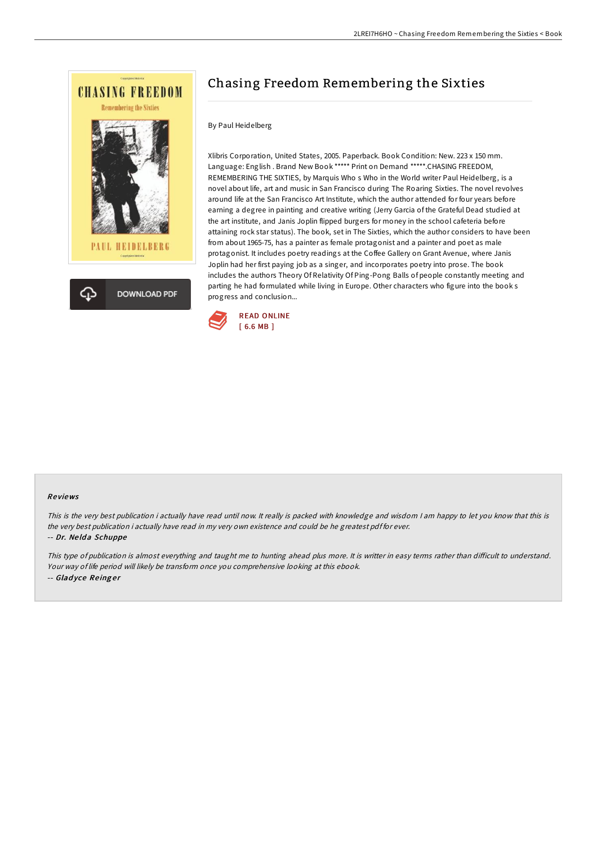

# Chasing Freedom Remembering the Sixties

### By Paul Heidelberg

Xlibris Corporation, United States, 2005. Paperback. Book Condition: New. 223 x 150 mm. Language: English . Brand New Book \*\*\*\*\* Print on Demand \*\*\*\*\*.CHASING FREEDOM, REMEMBERING THE SIXTIES, by Marquis Who s Who in the World writer Paul Heidelberg, is a novel about life, art and music in San Francisco during The Roaring Sixties. The novel revolves around life at the San Francisco Art Institute, which the author attended for four years before earning a degree in painting and creative writing (Jerry Garcia of the Grateful Dead studied at the art institute, and Janis Joplin flipped burgers for money in the school cafeteria before attaining rock star status). The book, set in The Sixties, which the author considers to have been from about 1965-75, has a painter as female protagonist and a painter and poet as male protagonist. It includes poetry readings at the Coffee Gallery on Grant Avenue, where Janis Joplin had her first paying job as a singer, and incorporates poetry into prose. The book includes the authors Theory Of Relativity Of Ping-Pong Balls of people constantly meeting and parting he had formulated while living in Europe. Other characters who figure into the book s progress and conclusion...



#### Re views

This is the very best publication i actually have read until now. It really is packed with knowledge and wisdom I am happy to let you know that this is the very best publication i actually have read in my very own existence and could be he greatest pdf for ever. -- Dr. Ne ld <sup>a</sup> Schuppe

This type of publication is almost everything and taught me to hunting ahead plus more. It is writter in easy terms rather than difficult to understand. Your way of life period will likely be transform once you comprehensive looking at this ebook. -- Gladyce Reinger